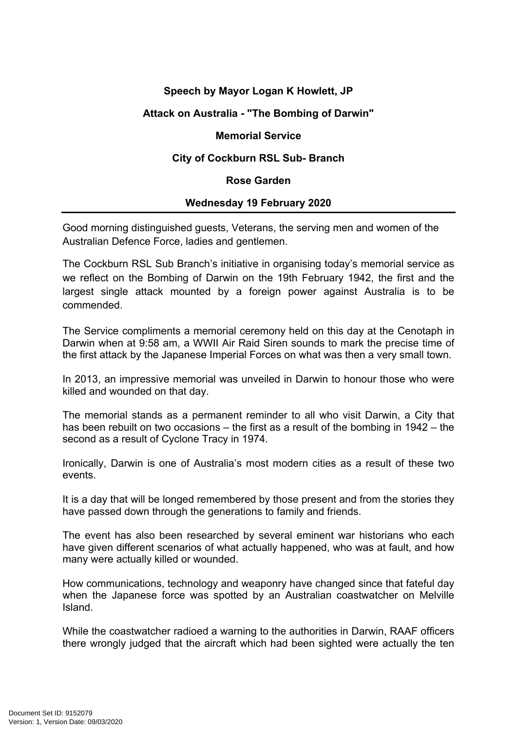# **Speech by Mayor Logan K Howlett, JP**

# **Attack on Australia - "The Bombing of Darwin"**

### **Memorial Service**

## **City of Cockburn RSL Sub- Branch**

#### **Rose Garden**

## **Wednesday 19 February 2020**

Good morning distinguished guests, Veterans, the serving men and women of the Australian Defence Force, ladies and gentlemen.

The Cockburn RSL Sub Branch's initiative in organising today's memorial service as we reflect on the Bombing of Darwin on the 19th February 1942, the first and the largest single attack mounted by a foreign power against [Australia](http://en.wikipedia.org/wiki/Australia) is to be commended.

The Service compliments a memorial ceremony held on this day at the Cenotaph in Darwin when at 9:58 am, a WWII Air Raid Siren sounds to mark the precise time of the first attack by the Japanese Imperial Forces on what was then a very small town.

In 2013, an impressive memorial was unveiled in Darwin to honour those who were killed and wounded on that day.

The memorial stands as a permanent reminder to all who visit Darwin, a City that has been rebuilt on two occasions – the first as a result of the bombing in 1942 – the second as a result of Cyclone Tracy in 1974.

Ironically, Darwin is one of Australia's most modern cities as a result of these two events.

It is a day that will be longed remembered by those present and from the stories they have passed down through the generations to family and friends.

The event has also been researched by several eminent war historians who each have given different scenarios of what actually happened, who was at fault, and how many were actually killed or wounded.

How communications, technology and weaponry have changed since that fateful day when the Japanese force was spotted by an Australian [coastwatcher](http://en.wikipedia.org/wiki/Coastwatcher) on Melville Island.

While the coastwatcher radioed a warning to the authorities in Darwin, RAAF officers there wrongly judged that the aircraft which had been sighted were actually the ten